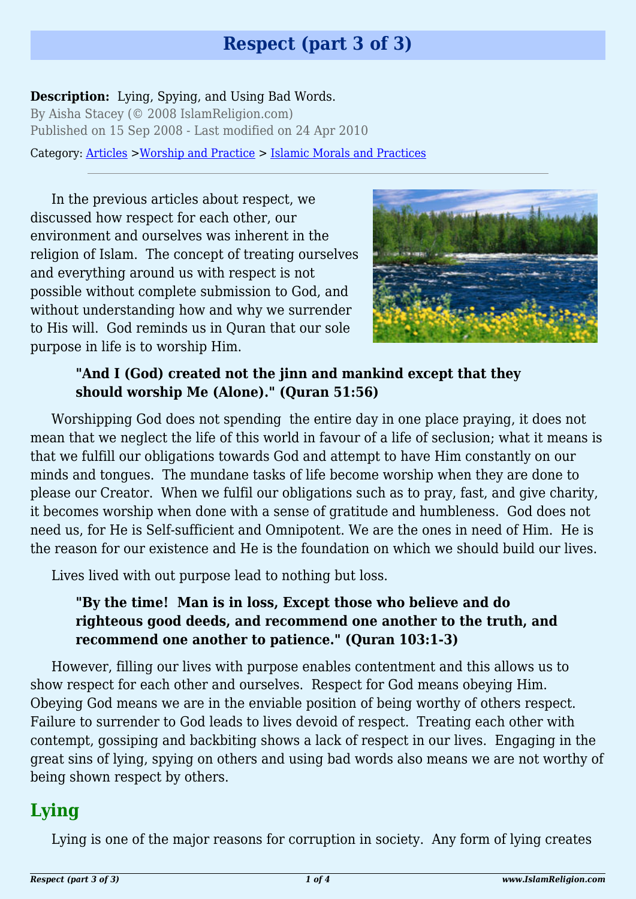# **Respect (part 3 of 3)**

#### **Description:** Lying, Spying, and Using Bad Words.

By Aisha Stacey (© 2008 IslamReligion.com) Published on 15 Sep 2008 - Last modified on 24 Apr 2010

Category: [Articles](http://www.islamreligion.com/articles/) >[Worship and Practice](http://www.islamreligion.com/category/55/) > [Islamic Morals and Practices](http://www.islamreligion.com/category/58/)

In the previous articles about respect, we discussed how respect for each other, our environment and ourselves was inherent in the religion of Islam. The concept of treating ourselves and everything around us with respect is not possible without complete submission to God, and without understanding how and why we surrender to His will. God reminds us in Quran that our sole purpose in life is to worship Him.



#### **"And I (God) created not the jinn and mankind except that they should worship Me (Alone)." (Quran 51:56)**

Worshipping God does not spending the entire day in one place praying, it does not mean that we neglect the life of this world in favour of a life of seclusion; what it means is that we fulfill our obligations towards God and attempt to have Him constantly on our minds and tongues. The mundane tasks of life become worship when they are done to please our Creator. When we fulfil our obligations such as to pray, fast, and give charity, it becomes worship when done with a sense of gratitude and humbleness. God does not need us, for He is Self-sufficient and Omnipotent. We are the ones in need of Him. He is the reason for our existence and He is the foundation on which we should build our lives.

Lives lived with out purpose lead to nothing but loss.

#### **"By the time! Man is in loss, Except those who believe and do righteous good deeds, and recommend one another to the truth, and recommend one another to patience." (Quran 103:1-3)**

However, filling our lives with purpose enables contentment and this allows us to show respect for each other and ourselves. Respect for God means obeying Him. Obeying God means we are in the enviable position of being worthy of others respect. Failure to surrender to God leads to lives devoid of respect. Treating each other with contempt, gossiping and backbiting shows a lack of respect in our lives. Engaging in the great sins of lying, spying on others and using bad words also means we are not worthy of being shown respect by others.

## **Lying**

Lying is one of the major reasons for corruption in society. Any form of lying creates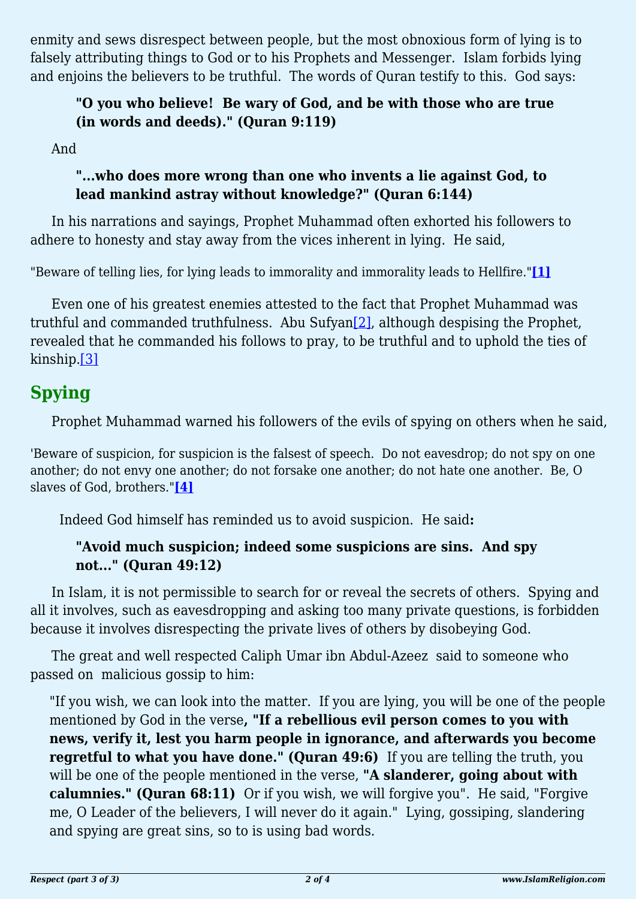enmity and sews disrespect between people, but the most obnoxious form of lying is to falsely attributing things to God or to his Prophets and Messenger. Islam forbids lying and enjoins the believers to be truthful. The words of Quran testify to this. God says:

## **"O you who believe! Be wary of God, and be with those who are true (in words and deeds)." (Quran 9:119)**

And

## **"...who does more wrong than one who invents a lie against God, to lead mankind astray without knowledge?" (Quran 6:144)**

In his narrations and sayings, Prophet Muhammad often exhorted his followers to adhere to honesty and stay away from the vices inherent in lying. He said,

<span id="page-1-0"></span>"Beware of telling lies, for lying leads to immorality and immorality leads to Hellfire."**[\[1\]](#page-2-0)**

<span id="page-1-1"></span>Even one of his greatest enemies attested to the fact that Prophet Muhammad was truthful and commanded truthfulness. Abu Sufyan[\[2\]](#page-2-1), although despising the Prophet, revealed that he commanded his follows to pray, to be truthful and to uphold the ties of kinship[.\[3\]](#page-2-2)

# <span id="page-1-2"></span>**Spying**

Prophet Muhammad warned his followers of the evils of spying on others when he said,

<span id="page-1-3"></span>'Beware of suspicion, for suspicion is the falsest of speech. Do not eavesdrop; do not spy on one another; do not envy one another; do not forsake one another; do not hate one another. Be, O slaves of God, brothers."**[\[4\]](#page-2-3)**

Indeed God himself has reminded us to avoid suspicion. He said**:**

## **"Avoid much suspicion; indeed some suspicions are sins. And spy not..." (Quran 49:12)**

In Islam, it is not permissible to search for or reveal the secrets of others. Spying and all it involves, such as eavesdropping and asking too many private questions, is forbidden because it involves disrespecting the private lives of others by disobeying God.

The great and well respected Caliph Umar ibn Abdul-Azeez said to someone who passed on malicious gossip to him:

"If you wish, we can look into the matter. If you are lying, you will be one of the people mentioned by God in the verse**, "If a rebellious evil person comes to you with news, verify it, lest you harm people in ignorance, and afterwards you become regretful to what you have done." (Quran 49:6)** If you are telling the truth, you will be one of the people mentioned in the verse, **"A slanderer, going about with calumnies." (Quran 68:11)** Or if you wish, we will forgive you". He said, "Forgive me, O Leader of the believers, I will never do it again." Lying, gossiping, slandering and spying are great sins, so to is using bad words.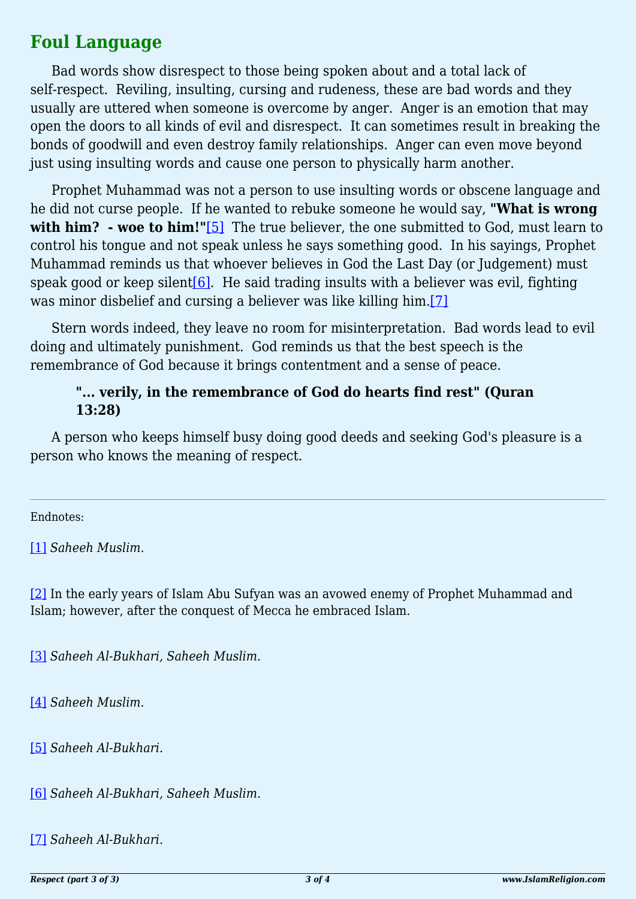# **Foul Language**

Bad words show disrespect to those being spoken about and a total lack of self-respect. Reviling, insulting, cursing and rudeness, these are bad words and they usually are uttered when someone is overcome by anger. Anger is an emotion that may open the doors to all kinds of evil and disrespect. It can sometimes result in breaking the bonds of goodwill and even destroy family relationships. Anger can even move beyond just using insulting words and cause one person to physically harm another.

<span id="page-2-7"></span>Prophet Muhammad was not a person to use insulting words or obscene language and he did not curse people. If he wanted to rebuke someone he would say, **"What is wrong** with him? - woe to him!"[\[5\]](#page-2-4) The true believer, the one submitted to God, must learn to control his tongue and not speak unless he says something good. In his sayings, Prophet Muhammad reminds us that whoever believes in God the Last Day (or Judgement) must speak good or keep silent $[6]$ . He said trading insults with a believer was evil, fighting was minor disbelief and cursing a believer was like killing him.[\[7\]](#page-2-6)

<span id="page-2-9"></span><span id="page-2-8"></span>Stern words indeed, they leave no room for misinterpretation. Bad words lead to evil doing and ultimately punishment. God reminds us that the best speech is the remembrance of God because it brings contentment and a sense of peace.

#### **"... verily, in the remembrance of God do hearts find rest" (Quran 13:28)**

A person who keeps himself busy doing good deeds and seeking God's pleasure is a person who knows the meaning of respect.

<span id="page-2-0"></span>Endnotes:

[\[1\]](#page-1-0) *Saheeh Muslim*.

<span id="page-2-1"></span>[\[2\]](#page-1-1) In the early years of Islam Abu Sufyan was an avowed enemy of Prophet Muhammad and Islam; however, after the conquest of Mecca he embraced Islam.

<span id="page-2-2"></span>[\[3\]](#page-1-2) *Saheeh Al-Bukhari, Saheeh Muslim*.

<span id="page-2-3"></span>[\[4\]](#page-1-3) *Saheeh Muslim*.

<span id="page-2-4"></span>[\[5\]](#page-2-7) *Saheeh Al-Bukhari*.

<span id="page-2-5"></span>[\[6\]](#page-2-8) *Saheeh Al-Bukhari, Saheeh Muslim*.

<span id="page-2-6"></span>[\[7\]](#page-2-9) *Saheeh Al-Bukhari*.